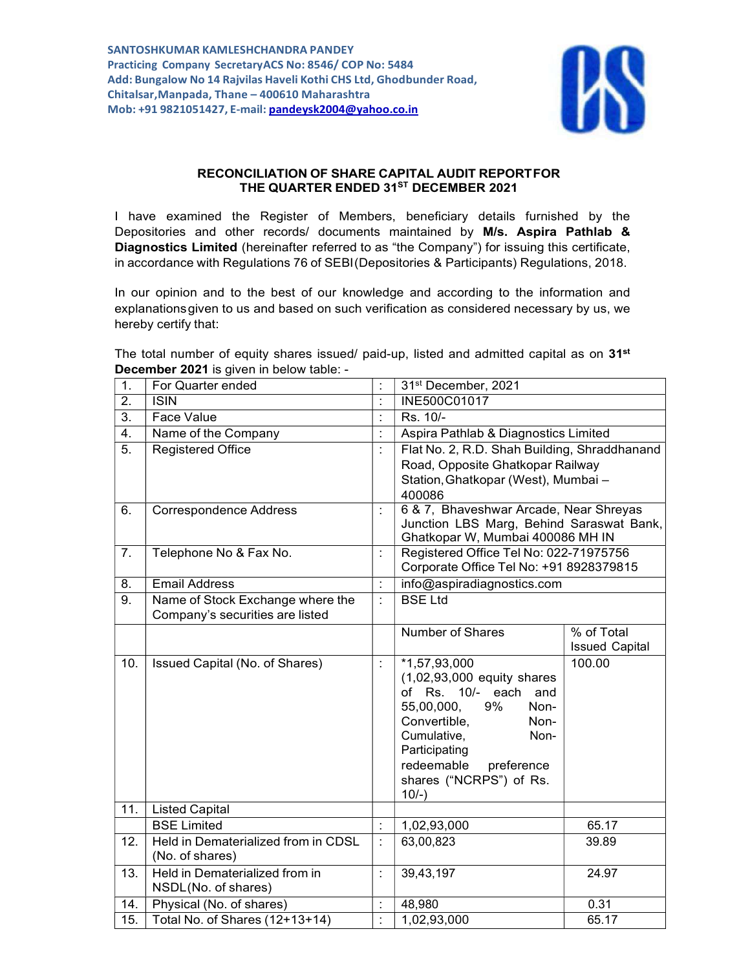

## RECONCILIATION OF SHARE CAPITAL AUDIT REPORTFOR THE QUARTER ENDED 31<sup>ST</sup> DECEMBER 2021

I have examined the Register of Members, beneficiary details furnished by the Depositories and other records/ documents maintained by M/s. Aspira Pathlab & Diagnostics Limited (hereinafter referred to as "the Company") for issuing this certificate, in accordance with Regulations 76 of SEBI (Depositories & Participants) Regulations, 2018.

In our opinion and to the best of our knowledge and according to the information and explanations given to us and based on such verification as considered necessary by us, we hereby certify that:

The total number of equity shares issued/ paid-up, listed and admitted capital as on  $31^{st}$ December 2021 is given in below table: -

| 1.               | For Quarter ended                                                   | 31 <sup>st</sup> December, 2021                                                                                                                                                                                                       |                                     |  |  |
|------------------|---------------------------------------------------------------------|---------------------------------------------------------------------------------------------------------------------------------------------------------------------------------------------------------------------------------------|-------------------------------------|--|--|
| 2.               | <b>ISIN</b>                                                         | INE500C01017                                                                                                                                                                                                                          |                                     |  |  |
| 3.               | Face Value                                                          | Rs. 10/-                                                                                                                                                                                                                              |                                     |  |  |
| $\overline{4}$ . | Name of the Company                                                 | Aspira Pathlab & Diagnostics Limited                                                                                                                                                                                                  |                                     |  |  |
| 5.               | <b>Registered Office</b>                                            | Flat No. 2, R.D. Shah Building, Shraddhanand<br>Road, Opposite Ghatkopar Railway<br>Station, Ghatkopar (West), Mumbai -<br>400086                                                                                                     |                                     |  |  |
| 6.               | <b>Correspondence Address</b>                                       | 6 & 7, Bhaveshwar Arcade, Near Shreyas<br>Junction LBS Marg, Behind Saraswat Bank,<br>Ghatkopar W, Mumbai 400086 MH IN                                                                                                                |                                     |  |  |
| 7.               | Telephone No & Fax No.                                              | Registered Office Tel No: 022-71975756<br>Corporate Office Tel No: +91 8928379815                                                                                                                                                     |                                     |  |  |
| 8.               | <b>Email Address</b>                                                |                                                                                                                                                                                                                                       | info@aspiradiagnostics.com          |  |  |
| 9.               | Name of Stock Exchange where the<br>Company's securities are listed | <b>BSE Ltd</b>                                                                                                                                                                                                                        |                                     |  |  |
|                  |                                                                     | Number of Shares                                                                                                                                                                                                                      | % of Total<br><b>Issued Capital</b> |  |  |
| 10.              | Issued Capital (No. of Shares)                                      | $*1,57,93,000$<br>$(1,02,93,000$ equity shares<br>of Rs. 10/- each and<br>55,00,000,<br>9%<br>Non-<br>Convertible,<br>Non-<br>Cumulative,<br>Non-<br>Participating<br>redeemable<br>preference<br>shares ("NCRPS") of Rs.<br>$10/-$ ) | 100.00                              |  |  |
| 11.              | <b>Listed Capital</b>                                               |                                                                                                                                                                                                                                       |                                     |  |  |
|                  | <b>BSE Limited</b>                                                  | 1,02,93,000                                                                                                                                                                                                                           | 65.17                               |  |  |
| 12.              | Held in Dematerialized from in CDSL<br>(No. of shares)              | 63,00,823                                                                                                                                                                                                                             | 39.89                               |  |  |
| 13.              | Held in Dematerialized from in<br>NSDL(No. of shares)               | 39,43,197                                                                                                                                                                                                                             | 24.97                               |  |  |
| 14.              | Physical (No. of shares)                                            | 48,980                                                                                                                                                                                                                                | 0.31                                |  |  |
| 15.              | Total No. of Shares (12+13+14)                                      | 1,02,93,000                                                                                                                                                                                                                           | 65.17                               |  |  |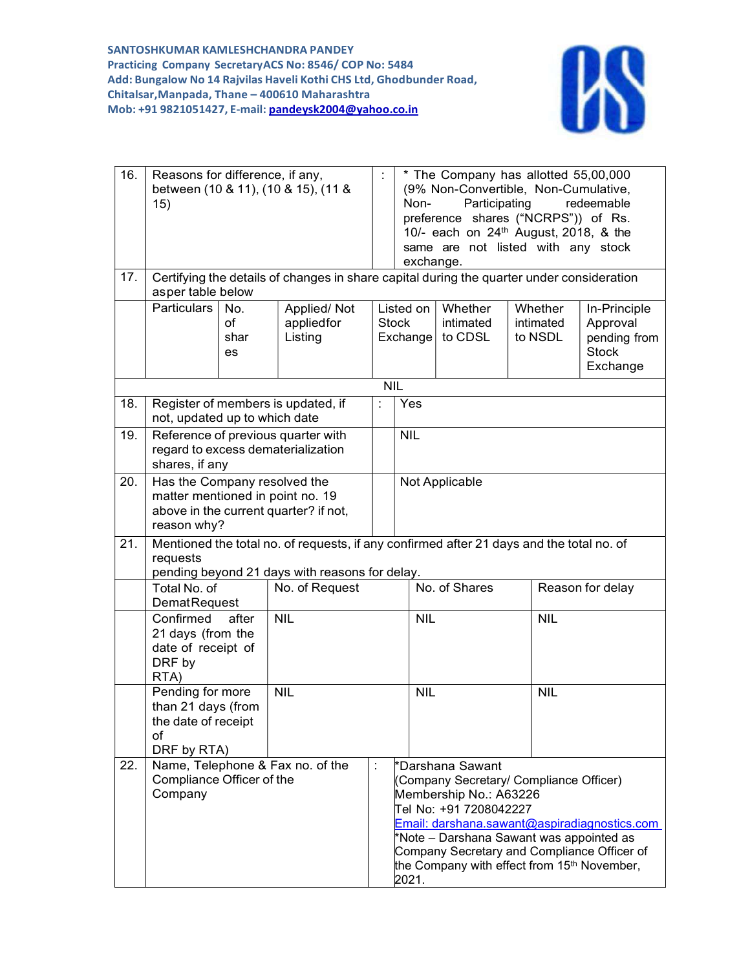

| 16.<br>17. | Reasons for difference, if any,<br>between (10 & 11), (10 & 15), (11 &<br>15)                                                                                          |                         |                                                                          | * The Company has allotted 55,00,000<br>(9% Non-Convertible, Non-Cumulative,<br>Participating<br>redeemable<br>Non-<br>preference shares ("NCRPS")) of Rs.<br>10/- each on 24 <sup>th</sup> August, 2018, & the<br>same are not listed with any stock<br>exchange.<br>Certifying the details of changes in share capital during the quarter under consideration |                       |                                 |                                 |                                                                      |  |
|------------|------------------------------------------------------------------------------------------------------------------------------------------------------------------------|-------------------------|--------------------------------------------------------------------------|-----------------------------------------------------------------------------------------------------------------------------------------------------------------------------------------------------------------------------------------------------------------------------------------------------------------------------------------------------------------|-----------------------|---------------------------------|---------------------------------|----------------------------------------------------------------------|--|
|            | asper table below                                                                                                                                                      |                         |                                                                          |                                                                                                                                                                                                                                                                                                                                                                 |                       |                                 |                                 |                                                                      |  |
|            | <b>Particulars</b>                                                                                                                                                     | No.<br>of<br>shar<br>es | Applied/Not<br>appliedfor<br>Listing                                     | <b>Stock</b>                                                                                                                                                                                                                                                                                                                                                    | Listed on<br>Exchange | Whether<br>intimated<br>to CDSL | Whether<br>intimated<br>to NSDL | In-Principle<br>Approval<br>pending from<br><b>Stock</b><br>Exchange |  |
|            |                                                                                                                                                                        |                         |                                                                          | <b>NIL</b>                                                                                                                                                                                                                                                                                                                                                      |                       |                                 |                                 |                                                                      |  |
| 18.        | not, updated up to which date                                                                                                                                          |                         | Register of members is updated, if                                       |                                                                                                                                                                                                                                                                                                                                                                 | Yes                   |                                 |                                 |                                                                      |  |
| 19.        | shares, if any                                                                                                                                                         |                         | Reference of previous quarter with<br>regard to excess dematerialization | <b>NIL</b>                                                                                                                                                                                                                                                                                                                                                      |                       |                                 |                                 |                                                                      |  |
| 20.        | Has the Company resolved the<br>matter mentioned in point no. 19<br>above in the current quarter? if not,<br>reason why?                                               |                         |                                                                          |                                                                                                                                                                                                                                                                                                                                                                 | Not Applicable        |                                 |                                 |                                                                      |  |
| 21.        | Mentioned the total no. of requests, if any confirmed after 21 days and the total no. of<br>requests<br>pending beyond 21 days with reasons for delay.<br>Total No. of |                         |                                                                          |                                                                                                                                                                                                                                                                                                                                                                 |                       | No. of Shares                   |                                 | Reason for delay                                                     |  |
|            | No. of Request<br><b>DematRequest</b><br>Confirmed<br>after<br><b>NIL</b><br>21 days (from the<br>date of receipt of<br>DRF by<br>RTA)                                 |                         |                                                                          |                                                                                                                                                                                                                                                                                                                                                                 |                       |                                 |                                 |                                                                      |  |
|            |                                                                                                                                                                        |                         |                                                                          | <b>NIL</b>                                                                                                                                                                                                                                                                                                                                                      |                       | <b>NIL</b>                      |                                 |                                                                      |  |
|            | Pending for more<br>than 21 days (from<br>the date of receipt<br>of<br>DRF by RTA)                                                                                     |                         | <b>NIL</b>                                                               |                                                                                                                                                                                                                                                                                                                                                                 | <b>NIL</b>            |                                 | <b>NIL</b>                      |                                                                      |  |
| 22.        | Name, Telephone & Fax no. of the<br>Compliance Officer of the<br>Company                                                                                               |                         | ÷                                                                        | *Darshana Sawant<br>(Company Secretary/ Compliance Officer)<br>Membership No.: A63226<br>Tel No: +91 7208042227<br>Email: darshana.sawant@aspiradiagnostics.com<br>*Note - Darshana Sawant was appointed as<br>Company Secretary and Compliance Officer of<br>the Company with effect from 15 <sup>th</sup> November,<br>2021.                                  |                       |                                 |                                 |                                                                      |  |